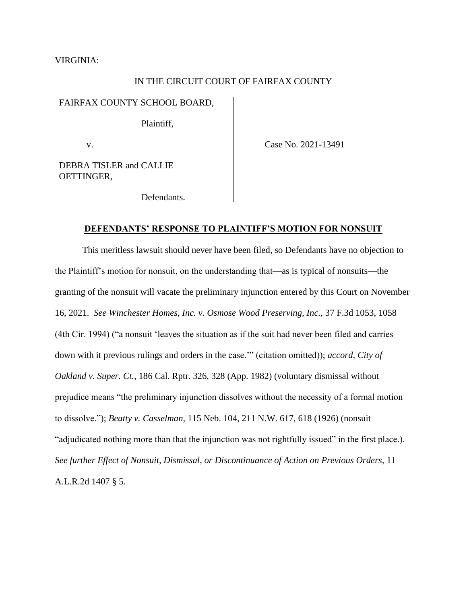#### VIRGINIA:

### IN THE CIRCUIT COURT OF FAIRFAX COUNTY

#### FAIRFAX COUNTY SCHOOL BOARD,

Plaintiff,

v.

Case No. 2021-13491

DEBRA TISLER and CALLIE OETTINGER,

Defendants.

#### **DEFENDANTS' RESPONSE TO PLAINTIFF'S MOTION FOR NONSUIT**

This meritless lawsuit should never have been filed, so Defendants have no objection to the Plaintiff's motion for nonsuit, on the understanding that—as is typical of nonsuits—the granting of the nonsuit will vacate the preliminary injunction entered by this Court on November 16, 2021. *See Winchester Homes, Inc. v. Osmose Wood Preserving, Inc.*, 37 F.3d 1053, 1058 (4th Cir. 1994) ("a nonsuit 'leaves the situation as if the suit had never been filed and carries down with it previous rulings and orders in the case.'" (citation omitted)); *accord, City of Oakland v. Super. Ct.*, 186 Cal. Rptr. 326, 328 (App. 1982) (voluntary dismissal without prejudice means "the preliminary injunction dissolves without the necessity of a formal motion to dissolve."); *Beatty v. Casselman*, 115 Neb. 104, 211 N.W. 617, 618 (1926) (nonsuit "adjudicated nothing more than that the injunction was not rightfully issued" in the first place.). *See further Effect of Nonsuit, Dismissal, or Discontinuance of Action on Previous Orders,* 11 A.L.R.2d 1407 § 5.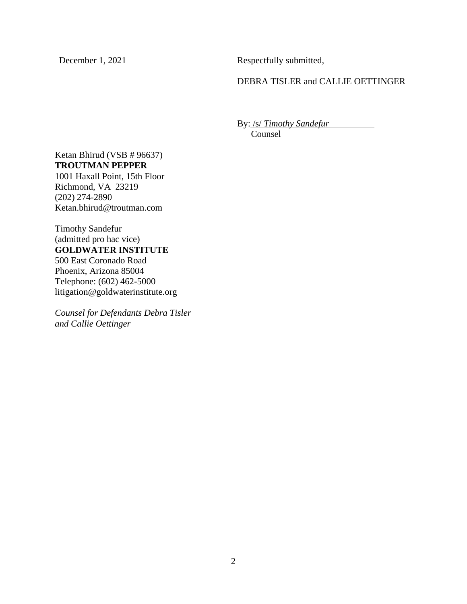December 1, 2021 Respectfully submitted,

DEBRA TISLER and CALLIE OETTINGER

By: /s/ *Timothy Sandefur*

Counsel

# Ketan Bhirud (VSB # 96637) **TROUTMAN PEPPER**

1001 Haxall Point, 15th Floor Richmond, VA 23219 (202) 274-2890 Ketan.bhirud@troutman.com

Timothy Sandefur (admitted pro hac vice) **GOLDWATER INSTITUTE** 500 East Coronado Road Phoenix, Arizona 85004 Telephone: (602) 462-5000 [litigation@goldwaterinstitute.org](mailto:litigation@goldwaterinstitute.org)

*Counsel for Defendants Debra Tisler and Callie Oettinger*